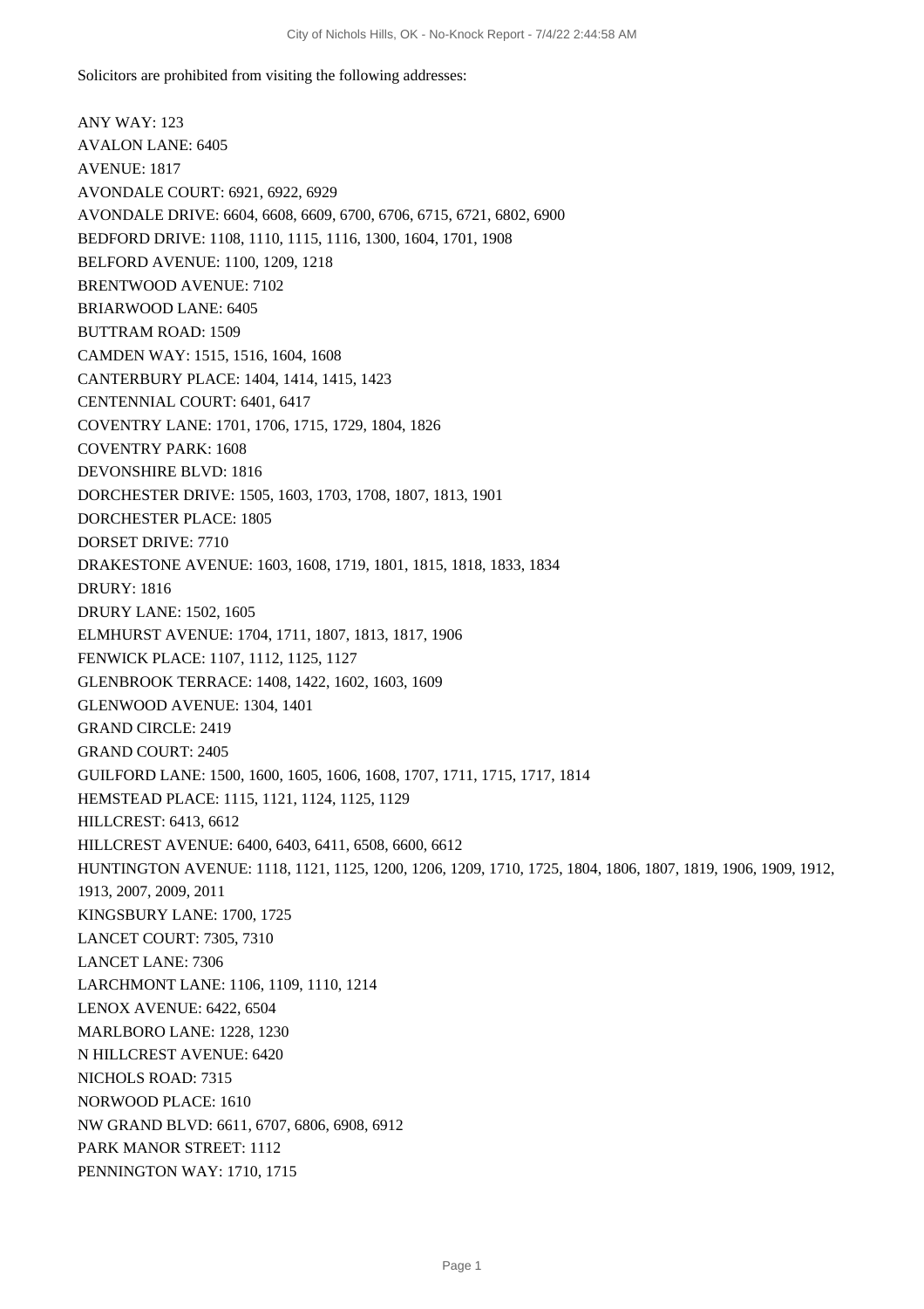Solicitors are prohibited from visiting the following addresses:

ANY WAY: 123 AVALON LANE: 6405 AVENUE: 1817 AVONDALE COURT: 6921, 6922, 6929 AVONDALE DRIVE: 6604, 6608, 6609, 6700, 6706, 6715, 6721, 6802, 6900 BEDFORD DRIVE: 1108, 1110, 1115, 1116, 1300, 1604, 1701, 1908 BELFORD AVENUE: 1100, 1209, 1218 BRENTWOOD AVENUE: 7102 BRIARWOOD LANE: 6405 BUTTRAM ROAD: 1509 CAMDEN WAY: 1515, 1516, 1604, 1608 CANTERBURY PLACE: 1404, 1414, 1415, 1423 CENTENNIAL COURT: 6401, 6417 COVENTRY LANE: 1701, 1706, 1715, 1729, 1804, 1826 COVENTRY PARK: 1608 DEVONSHIRE BLVD: 1816 DORCHESTER DRIVE: 1505, 1603, 1703, 1708, 1807, 1813, 1901 DORCHESTER PLACE: 1805 DORSET DRIVE: 7710 DRAKESTONE AVENUE: 1603, 1608, 1719, 1801, 1815, 1818, 1833, 1834 DRURY: 1816 DRURY LANE: 1502, 1605 ELMHURST AVENUE: 1704, 1711, 1807, 1813, 1817, 1906 FENWICK PLACE: 1107, 1112, 1125, 1127 GLENBROOK TERRACE: 1408, 1422, 1602, 1603, 1609 GLENWOOD AVENUE: 1304, 1401 GRAND CIRCLE: 2419 GRAND COURT: 2405 GUILFORD LANE: 1500, 1600, 1605, 1606, 1608, 1707, 1711, 1715, 1717, 1814 HEMSTEAD PLACE: 1115, 1121, 1124, 1125, 1129 HILLCREST: 6413, 6612 HILLCREST AVENUE: 6400, 6403, 6411, 6508, 6600, 6612 HUNTINGTON AVENUE: 1118, 1121, 1125, 1200, 1206, 1209, 1710, 1725, 1804, 1806, 1807, 1819, 1906, 1909, 1912, 1913, 2007, 2009, 2011 KINGSBURY LANE: 1700, 1725 LANCET COURT: 7305, 7310 LANCET LANE: 7306 LARCHMONT LANE: 1106, 1109, 1110, 1214 LENOX AVENUE: 6422, 6504 MARLBORO LANE: 1228, 1230 N HILLCREST AVENUE: 6420 NICHOLS ROAD: 7315 NORWOOD PLACE: 1610 NW GRAND BLVD: 6611, 6707, 6806, 6908, 6912 PARK MANOR STREET: 1112 PENNINGTON WAY: 1710, 1715